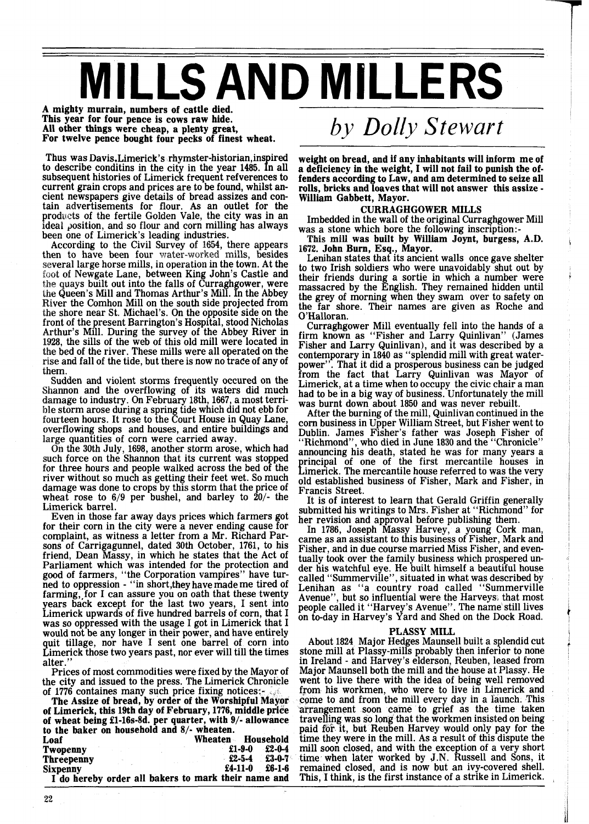# **MILLS AND MILLERS**

**A mighty murrain, numbers of cattle died. This year for four pence is cows raw hide. All other things were cheap, a plenty great, For twelve pence bought four pecks of finest wheat.** 

Thus was Davis, Limerick's rhymster-historian, inspired to describe conditins in the city in the year 1485. In all subsequent histories of Limerick frequent refverences to current grain crops and prices are to be found, whilst ancient newspapers give details of bread assizes and contain advertisements for flour. As an outlet for the products of the fertile Golden Vale, the city was in an ideal position, and so flour and corn milling has always been one of Limerick's leading industries.<br>According to the Civil Survey of 1654, there appears

then to have been four water-worked mills, besides several large horse mills, ewgate Lane, between King John's Castle and the quays built out into the falls of Curraghgower, were the Queen's Mill and Thomas Arthur's Mill. In the Abbey River the Comhon Mill on the south side projected from the shore near St. Michael's. On the opposite side on the front of the present Barrington's Hospital, stood Nicholas Arthur's Mill. During the survey of the Abbey River in 1928, the sills of the web of this old mill were located in e bed of the river. These mills were all operated on the rise and fall of the tide, but there is now no trace of any of them.

Sudden and violent storms frequently occured on the of its waters did much ry 18th, 1667, a most terrible storm arose during a spring tide which did not ebb for fourteen hours. It rose to the Court House in Quay Lane, overflowing shops and houses, and entire buildings and large quantities of corn were carried away.

On the 30th July, 1698, another storm arose, which had such force on the Shannon that its current was stopped for three hours and people walked across the bed of the river without so much as getting their feet wet. So much damage was done to crops by this storm that the price of wheat rose to  $6/9$  per bushel, and barley to  $20/1$  the Limerick barrel.

Even in those far away days prices which farmers got for their corn in the city were a never ending cause for complaint, as witness a letter from a Mr. Richard Parsons of Carrigagunnel, dated 30th October, 1761, to his friend, Dean Massy, in which he states that the Act of Parliament which was intended for the protection and good of farmers, "the Corporation vampires" have turned to oppression - "in short,they have made me tired of farming,,for I can assure you on oath that these twenty years back except for the last two years, I sent into Limerick upwards of five hundred barrels of corn, that I was so oppressed with the usage I got in Limerick that I would not be any longer in their power, and have entirely quit tillage, nor have I sent one barrel of corn into Limerick those two years past, nor ever will till the times alter."

Prices of most commodities were fixed by the Mayor of

the city and issued to the press. The Limerick Chronicle<br>of 1776 containes many such price fixing notices:<br>The Assize of bread, by order of the Worshipful Mayor<br>of Limerick, this 19th day of February, 1776, middle price **of wheat being El-16s-8d. per quarter, with 91- allowance to the baker on household and 81- wheaten. Loaf** Wheaten Household **Twopenny E1-9-0 E2-0-4 Twopenny \$1-9-0 f2-0-4 Threepenny f2-5-4 f3-0-7 Sixpenny \$4-11-0 f6-1-6 I do hereby order all bakers to mark their name and** 

# *by Dolly Stewart*

**weight on bread, and if any inhabitants will inform me of a deficiency in the weight, I will not fail to punish the offenders according to Law, and am determined to seize all rolls, bricks and loaves that will not answer this assize** - **William Gabbett, Mayor.** 

## **CURRAGHGOWER MILLS**

Imbedded in the wall of the original Curraghgower Mill was a stone which bore the following inscription:-

This mill was built by William Joynt, burgess, A.D. 1672. John Burn, Esq., Mayor.

Lenihan states that its ancient walls once gave shelter<br>to two Irish soldiers who were unavoidably shut out by their friends during a sortie in which a number were massacred by the English. They remained hidden until the grey of morning when they swam over to safety on the far shore. Their names are given as Roche and O'Halloran.

Curraghgower Mill eventually fell into the hands of a firm known as "Fisher and Larry Quinlivan" (James Fisher and Larry Quinlivan), and it was described by a contemporary in 1840 as "splendid mill with great waterpower". That it did a prosperous business can be judged from the fact that Larry Quinlivan was Mayor of Limerick, at a time when to occupy the civic chair a man had to be in a big way of business. Unfortunately the mill was burnt down about 1850 and was never rebuilt.

After the burning of the mill, Quinlivan continued in the corn business in Upper William Street, but Fisher went to Dublin. James Fisher's father was Joseph Fisher of "Richmond", who died in June 1830 and the "Chronicle" announcing his death, stated he was for many years a principal of one of the first mercantile houses in<br>Limerick. The mercantile house referred to was the very old established business of Fisher, Mark and Fisher, in

Francis Street.<br>It is of interest to learn that Gerald Griffin generally submitted his writings to Mrs. Fisher at "Richmond" for her revision and approval before publishing them.

In 1786, Joseph Massy Harvey, a young Cork man, came as an assistant to this business of Fisher, Mark and Fisher, and in due course married Miss Fisher, and eventually took over the family business which prospered under his watchful eye. He built himself a beautiful house called "Summerville", situated in what was described by<br>Lenihan as "a country road called "Summerville Avenue", but so influential were the Harveys, that most people called it "Harvey's Avenue". The name still lives on to-day in Harvey's Yard and Shed on the Dock Road.

#### **PLASSY MILL**

About 1824 Major Hedges Maunsell built a splendid cut stone mill at Plassy-mills probably then inferior to none in Ireland - and Harvey's elderson, Reuben, leased from Major Maunsell both the mill and the house at Plassy. He went to live there with the idea of being well removed from his workmen, who were to live in Limerick and come to and from the mill every day in a faunch. This arrangement soon came to grief as the time taken travelling was so long that the workmen insisted on being paid for it, but Reuben Harvey would only pay for the time they were in the mill. As a result of this dispute the mill soon closed, and with the exception of a very short time when later worked by J.N. Russell and Sons, it remained closed, and is now but an ivy-covered shell. This, I think, is the first instance of a strike in Limerick.

22